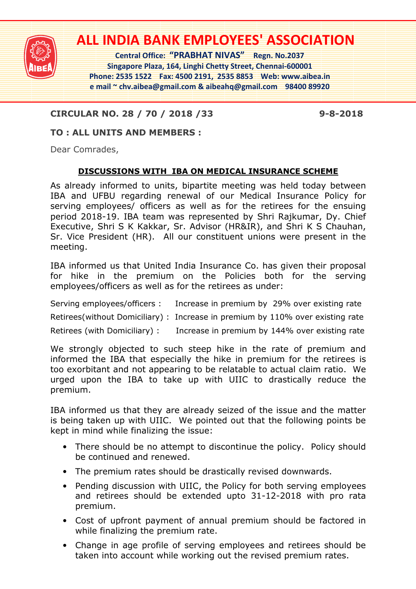

# **ALL INDIA BANK EMPLOYEES' ASSOCIATION**

**Central Office: "PRABHAT NIVAS" Regn. No.2037 Singapore Plaza, 164, Linghi Chetty Street, Chennai-600001 Phone: 2535 1522 Fax: 4500 2191, 2535 8853 Web: www.aibea.in e mail ~ chv.aibea@gmail.com & aibeahq@gmail.com 98400 89920** 

## **CIRCULAR NO. 28 / 70 / 2018 /33 9-8-2018**

#### **TO : ALL UNITS AND MEMBERS :**

Dear Comrades,

#### **DISCUSSIONS WITH IBA ON MEDICAL INSURANCE SCHEME**

As already informed to units, bipartite meeting was held today between IBA and UFBU regarding renewal of our Medical Insurance Policy for serving employees/ officers as well as for the retirees for the ensuing period 2018-19. IBA team was represented by Shri Rajkumar, Dy. Chief Executive, Shri S K Kakkar, Sr. Advisor (HR&IR), and Shri K S Chauhan, Sr. Vice President (HR). All our constituent unions were present in the meeting.

IBA informed us that United India Insurance Co. has given their proposal for hike in the premium on the Policies both for the serving employees/officers as well as for the retirees as under:

Serving employees/officers : Increase in premium by 29% over existing rate

Retirees(without Domiciliary) : Increase in premium by 110% over existing rate

Retirees (with Domiciliary) : Increase in premium by 144% over existing rate

We strongly objected to such steep hike in the rate of premium and informed the IBA that especially the hike in premium for the retirees is too exorbitant and not appearing to be relatable to actual claim ratio. We urged upon the IBA to take up with UIIC to drastically reduce the premium.

IBA informed us that they are already seized of the issue and the matter is being taken up with UIIC. We pointed out that the following points be kept in mind while finalizing the issue:

- There should be no attempt to discontinue the policy. Policy should be continued and renewed.
- The premium rates should be drastically revised downwards.
- Pending discussion with UIIC, the Policy for both serving employees and retirees should be extended upto 31-12-2018 with pro rata premium.
- Cost of upfront payment of annual premium should be factored in while finalizing the premium rate.
- Change in age profile of serving employees and retirees should be taken into account while working out the revised premium rates.